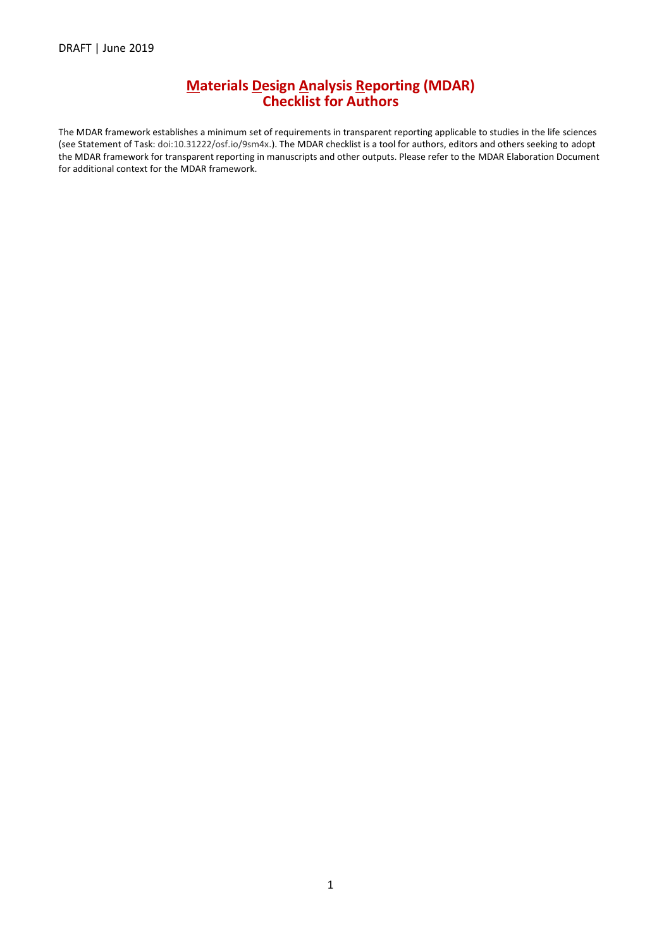#### **Materials Design Analysis Reporting (MDAR) Checklist for Authors**

The MDAR framework establishes a minimum set of requirements in transparent reporting applicable to studies in the life sciences (see Statement of Task: doi:10.31222/osf.io/9sm4x.). The MDAR checklist is a tool for authors, editors and others seeking to adopt the MDAR framework for transparent reporting in manuscripts and other outputs. Please refer to the MDAR Elaboration Document for additional context for the MDAR framework.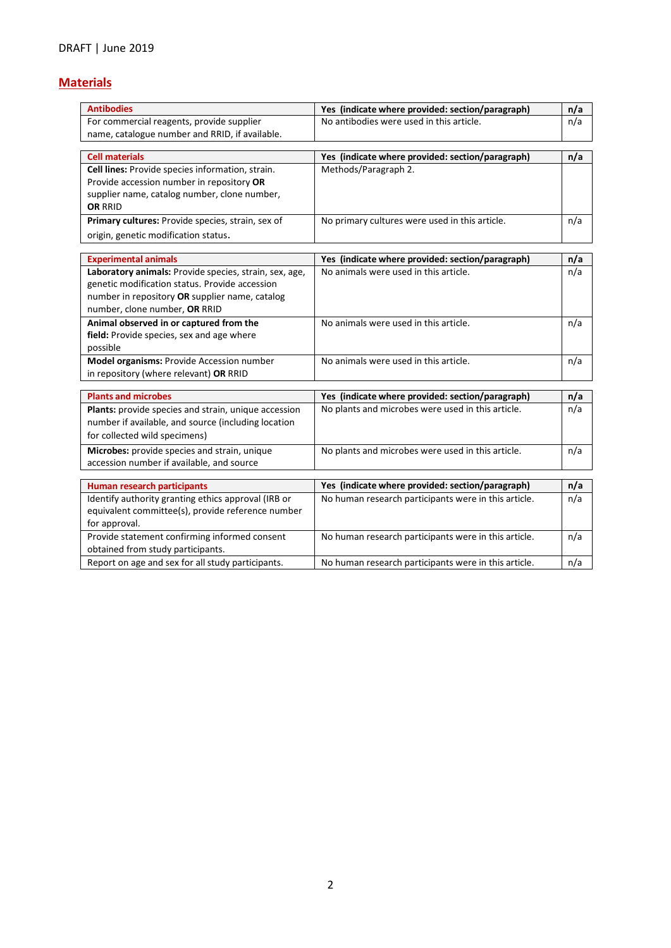## **Materials**

| <b>Antibodies</b>                                      | Yes (indicate where provided: section/paragraph)     | n/a |
|--------------------------------------------------------|------------------------------------------------------|-----|
| For commercial reagents, provide supplier              | No antibodies were used in this article.             | n/a |
| name, catalogue number and RRID, if available.         |                                                      |     |
|                                                        |                                                      |     |
| <b>Cell materials</b>                                  | Yes (indicate where provided: section/paragraph)     | n/a |
| Cell lines: Provide species information, strain.       | Methods/Paragraph 2.                                 |     |
| Provide accession number in repository OR              |                                                      |     |
| supplier name, catalog number, clone number,           |                                                      |     |
| <b>OR RRID</b>                                         |                                                      |     |
| Primary cultures: Provide species, strain, sex of      | No primary cultures were used in this article.       | n/a |
| origin, genetic modification status.                   |                                                      |     |
|                                                        |                                                      |     |
| <b>Experimental animals</b>                            | Yes (indicate where provided: section/paragraph)     | n/a |
| Laboratory animals: Provide species, strain, sex, age, | No animals were used in this article.                | n/a |
| genetic modification status. Provide accession         |                                                      |     |
| number in repository OR supplier name, catalog         |                                                      |     |
| number, clone number, OR RRID                          |                                                      |     |
| Animal observed in or captured from the                | No animals were used in this article.                | n/a |
| field: Provide species, sex and age where              |                                                      |     |
| possible                                               |                                                      |     |
| Model organisms: Provide Accession number              | No animals were used in this article.                | n/a |
| in repository (where relevant) OR RRID                 |                                                      |     |
| <b>Plants and microbes</b>                             | Yes (indicate where provided: section/paragraph)     | n/a |
| Plants: provide species and strain, unique accession   | No plants and microbes were used in this article.    | n/a |
| number if available, and source (including location    |                                                      |     |
| for collected wild specimens)                          |                                                      |     |
|                                                        |                                                      |     |
| Microbes: provide species and strain, unique           | No plants and microbes were used in this article.    | n/a |
| accession number if available, and source              |                                                      |     |
| <b>Human research participants</b>                     | Yes (indicate where provided: section/paragraph)     | n/a |
| Identify authority granting ethics approval (IRB or    | No human research participants were in this article. | n/a |
| equivalent committee(s), provide reference number      |                                                      |     |
| for approval.                                          |                                                      |     |
| Provide statement confirming informed consent          | No human research participants were in this article. | n/a |
| obtained from study participants.                      |                                                      |     |
| Report on age and sex for all study participants.      | No human research participants were in this article. | n/a |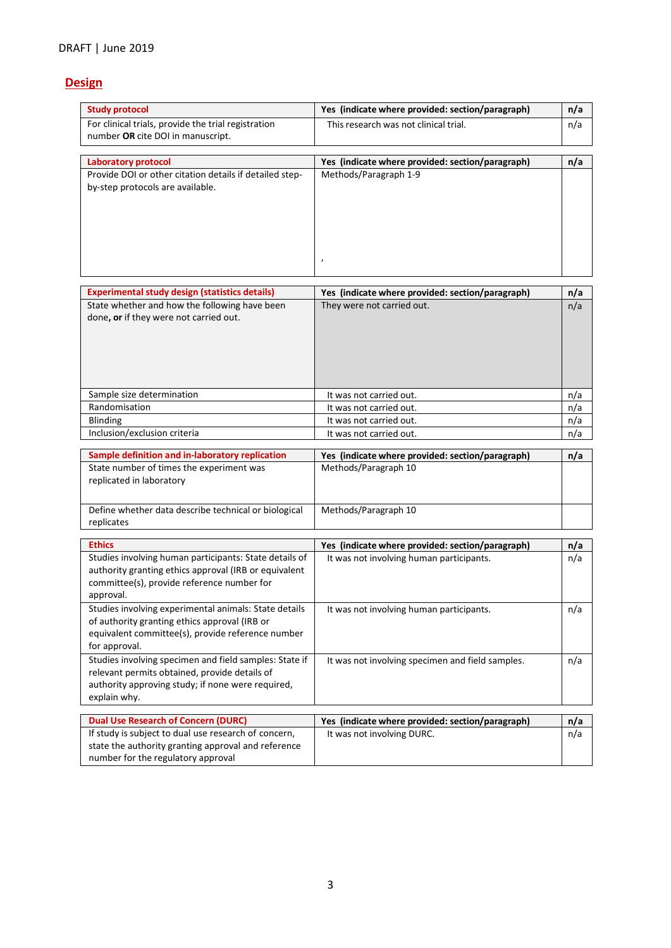## **Design**

| <b>Study protocol</b>                                                                                                                                                        | Yes (indicate where provided: section/paragraph)                         | n/a |
|------------------------------------------------------------------------------------------------------------------------------------------------------------------------------|--------------------------------------------------------------------------|-----|
| For clinical trials, provide the trial registration<br>number OR cite DOI in manuscript.                                                                                     | This research was not clinical trial.                                    | n/a |
| <b>Laboratory protocol</b>                                                                                                                                                   | Yes (indicate where provided: section/paragraph)                         | n/a |
| Provide DOI or other citation details if detailed step-<br>by-step protocols are available.                                                                                  | Methods/Paragraph 1-9<br>$\pmb{\prime}$                                  |     |
| <b>Experimental study design (statistics details)</b>                                                                                                                        | Yes (indicate where provided: section/paragraph)                         | n/a |
| State whether and how the following have been<br>done, or if they were not carried out.                                                                                      | They were not carried out.                                               | n/a |
| Sample size determination                                                                                                                                                    | It was not carried out.                                                  | n/a |
| Randomisation                                                                                                                                                                | It was not carried out.                                                  | n/a |
| Blinding                                                                                                                                                                     | It was not carried out.                                                  | n/a |
| Inclusion/exclusion criteria                                                                                                                                                 | It was not carried out.                                                  | n/a |
| Sample definition and in-laboratory replication<br>State number of times the experiment was<br>replicated in laboratory                                                      | Yes (indicate where provided: section/paragraph)<br>Methods/Paragraph 10 | n/a |
| Define whether data describe technical or biological<br>replicates                                                                                                           | Methods/Paragraph 10                                                     |     |
| <b>Ethics</b>                                                                                                                                                                | Yes (indicate where provided: section/paragraph)                         | n/a |
| Studies involving human participants: State details of<br>authority granting ethics approval (IRB or equivalent<br>committee(s), provide reference number for<br>approval.   | It was not involving human participants.                                 | n/a |
| Studies involving experimental animals: State details<br>of authority granting ethics approval (IRB or<br>equivalent committee(s), provide reference number<br>for approval. | It was not involving human participants.                                 | n/a |
| Studies involving specimen and field samples: State if<br>relevant permits obtained, provide details of<br>authority approving study; if none were required,<br>explain why. | It was not involving specimen and field samples.                         | n/a |
| <b>Dual Use Research of Concern (DURC)</b>                                                                                                                                   | Yes (indicate where provided: section/paragraph)                         | n/a |
| If study is subject to dual use research of concern,<br>state the authority granting approval and reference<br>number for the regulatory approval                            | It was not involving DURC.                                               | n/a |